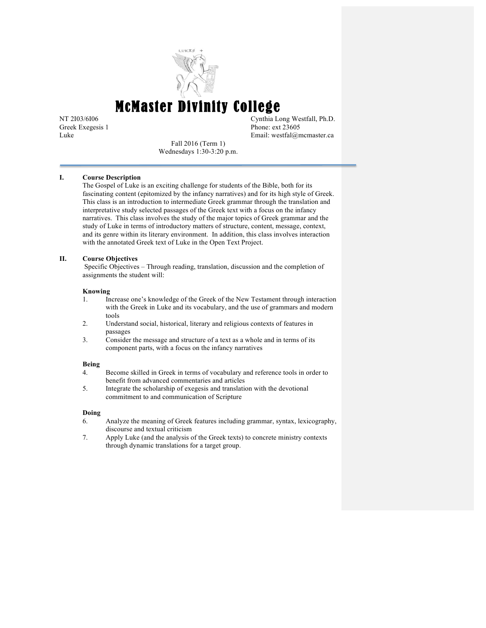

McMaster Divinity College

NT 2I03/6I06 Cynthia Long Westfall, Ph.D. Greek Exegesis 1 Phone: ext 23605 Luke Email: westfal@mcmaster.ca

Fall 2016 (Term 1) Wednesdays 1:30-3:20 p.m.

## **I. Course Description**

The Gospel of Luke is an exciting challenge for students of the Bible, both for its fascinating content (epitomized by the infancy narratives) and for its high style of Greek. This class is an introduction to intermediate Greek grammar through the translation and interpretative study selected passages of the Greek text with a focus on the infancy narratives. This class involves the study of the major topics of Greek grammar and the study of Luke in terms of introductory matters of structure, content, message, context, and its genre within its literary environment. In addition, this class involves interaction with the annotated Greek text of Luke in the Open Text Project.

## **II. Course Objectives**

Specific Objectives – Through reading, translation, discussion and the completion of assignments the student will:

#### **Knowing**

- 1. Increase one's knowledge of the Greek of the New Testament through interaction with the Greek in Luke and its vocabulary, and the use of grammars and modern tools
- 2. Understand social, historical, literary and religious contexts of features in passages
- 3. Consider the message and structure of a text as a whole and in terms of its component parts, with a focus on the infancy narratives

#### **Being**

- 4. Become skilled in Greek in terms of vocabulary and reference tools in order to benefit from advanced commentaries and articles
- 5. Integrate the scholarship of exegesis and translation with the devotional commitment to and communication of Scripture

#### **Doing**

- 6. Analyze the meaning of Greek features including grammar, syntax, lexicography, discourse and textual criticism
- 7. Apply Luke (and the analysis of the Greek texts) to concrete ministry contexts through dynamic translations for a target group.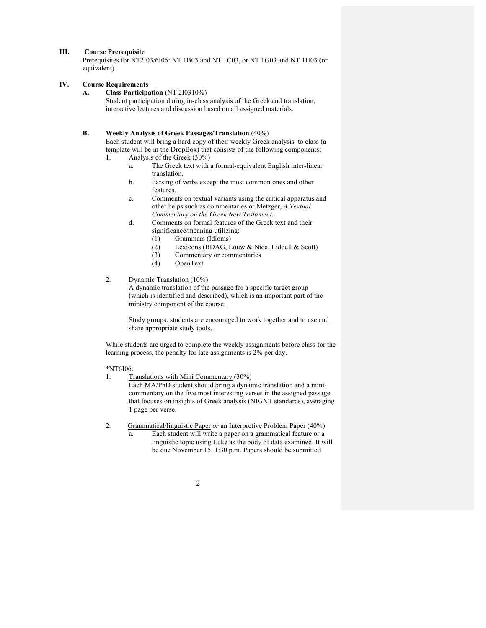# **III. Course Prerequisite**

Prerequisites for NT2I03/6I06: NT 1B03 and NT 1C03, or NT 1G03 and NT 1H03 (or equivalent)

### **IV. Course Requirements**

#### **A. Class Participation** (NT 2I0310%)

Student participation during in-class analysis of the Greek and translation, interactive lectures and discussion based on all assigned materials.

#### **B. Weekly Analysis of Greek Passages/Translation** (40%)

Each student will bring a hard copy of their weekly Greek analysis to class (a template will be in the DropBox) that consists of the following components: 1. Analysis of the Greek (30%)

- a. The Greek text with a formal-equivalent English inter-linear translation.
- b. Parsing of verbs except the most common ones and other features.
- c. Comments on textual variants using the critical apparatus and other helps such as commentaries or Metzger, *A Textual Commentary on the Greek New Testament.*
- d. Comments on formal features of the Greek text and their significance/meaning utilizing:
	- (1) Grammars (Idioms)
	- (2) Lexicons (BDAG, Louw & Nida, Liddell & Scott)
	- (3) Commentary or commentaries<br>(4) OpenText
	- OpenText

# 2. Dynamic Translation (10%)

A dynamic translation of the passage for a specific target group (which is identified and described), which is an important part of the ministry component of the course.

Study groups: students are encouraged to work together and to use and share appropriate study tools.

While students are urged to complete the weekly assignments before class for the learning process, the penalty for late assignments is 2% per day.

#### \*NT6I06:

1. Translations with Mini Commentary (30%)

Each MA/PhD student should bring a dynamic translation and a minicommentary on the five most interesting verses in the assigned passage that focuses on insights of Greek analysis (NIGNT standards), averaging 1 page per verse.

- 2. Grammatical/linguistic Paper *or* an Interpretive Problem Paper (40%)
	- a. Each student will write a paper on a grammatical feature or a linguistic topic using Luke as the body of data examined. It will be due November 15, 1:30 p.m. Papers should be submitted
		- 2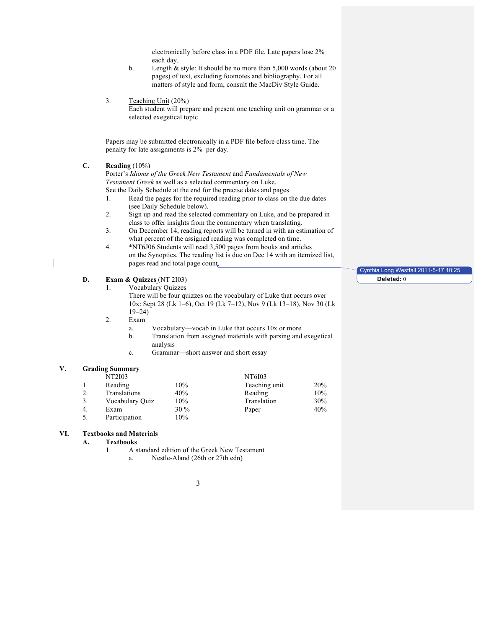electronically before class in a PDF file. Late papers lose 2% each day.

- b. Length & style: It should be no more than 5,000 words (about 20 pages) of text, excluding footnotes and bibliography. For all matters of style and form, consult the MacDiv Style Guide.
- 3. Teaching Unit (20%)

Each student will prepare and present one teaching unit on grammar or a selected exegetical topic

Papers may be submitted electronically in a PDF file before class time. The penalty for late assignments is 2% per day.

## **C. Reading** (10%)

Porter's *Idioms of the Greek New Testament* and *Fundamentals of New Testament Greek* as well as a selected commentary on Luke. See the Daily Schedule at the end for the precise dates and pages

- 1. Read the pages for the required reading prior to class on the due dates (see Daily Schedule below).
- 2. Sign up and read the selected commentary on Luke, and be prepared in class to offer insights from the commentary when translating.
- 3. On December 14, reading reports will be turned in with an estimation of what percent of the assigned reading was completed on time.
- 4. \*NT6J06 Students will read 3,500 pages from books and articles on the Synoptics. The reading list is due on Dec 14 with an itemized list, pages read and total page count.

# **D. Exam & Quizzes** (NT 2I03)

1. Vocabulary Quizzes

There will be four quizzes on the vocabulary of Luke that occurs over 10x: Sept 28 (Lk 1–6), Oct 19 (Lk 7–12), Nov 9 (Lk 13–18), Nov 30 (Lk 19–24)

- 2. Exam
	- a. Vocabulary—vocab in Luke that occurs 10x or more
	- b. Translation from assigned materials with parsing and exegetical analysis
	- c. Grammar—short answer and short essay

## **V. Grading Summary**

|    | <b>NT2I03</b>   |      | NT6I03        |            |
|----|-----------------|------|---------------|------------|
|    | Reading         | 10%  | Teaching unit | <b>20%</b> |
|    | Translations    | 40%  | Reading       | 10%        |
| 3. | Vocabulary Ouiz | 10%  | Translation   | 30%        |
| 4. | Exam            | 30 % | Paper         | 40%        |
|    | Participation   | 10%  |               |            |

#### **VI. Textbooks and Materials**

**A. Textbooks**

- 1. A standard edition of the Greek New Testament
	- a. Nestle-Aland (26th or 27th edn)

3

Cynthia Long Westfall 2011-5-17 10:25 **Deleted:** 0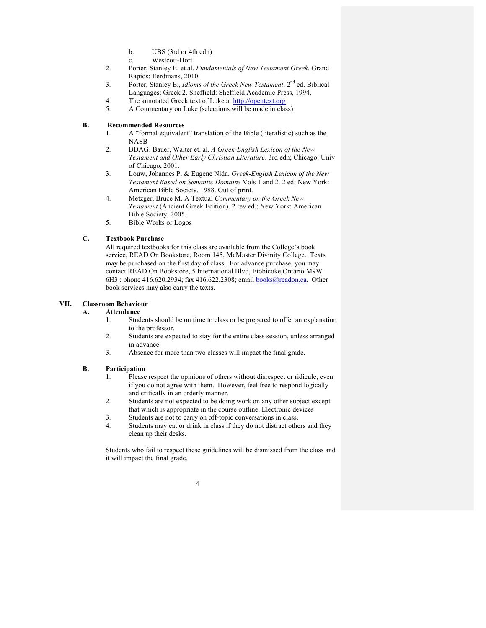- b. UBS (3rd or 4th edn)
- c. Westcott-Hort
- 2. Porter, Stanley E. et al. *Fundamentals of New Testament Greek*. Grand Rapids: Eerdmans, 2010.
- 3. Porter, Stanley E., *Idioms of the Greek New Testament*. 2nd ed. Biblical Languages: Greek 2. Sheffield: Sheffield Academic Press, 1994.
- 4. The annotated Greek text of Luke at http://opentext.org
- 5. A Commentary on Luke (selections will be made in class)

## **B. Recommended Resources**

- 1. A "formal equivalent" translation of the Bible (literalistic) such as the NASB
- 2. BDAG: Bauer, Walter et. al. *A Greek-English Lexicon of the New Testament and Other Early Christian Literature*. 3rd edn; Chicago: Univ of Chicago, 2001.
- 3. Louw, Johannes P. & Eugene Nida. *Greek-English Lexicon of the New Testament Based on Semantic Domains* Vols 1 and 2. 2 ed; New York: American Bible Society, 1988. Out of print.
- 4. Metzger, Bruce M. A Textual *Commentary on the Greek New Testament* (Ancient Greek Edition). 2 rev ed.; New York: American Bible Society, 2005.
- 5. Bible Works or Logos

# **C. Textbook Purchase**

All required textbooks for this class are available from the College's book service, READ On Bookstore, Room 145, McMaster Divinity College. Texts may be purchased on the first day of class. For advance purchase, you may contact READ On Bookstore, 5 International Blvd, Etobicoke,Ontario M9W 6H3 : phone 416.620.2934; fax 416.622.2308; email **books@readon.ca**. Other book services may also carry the texts.

## **VII. Classroom Behaviour**

## **A. Attendance**

- 1. Students should be on time to class or be prepared to offer an explanation to the professor.
- 2. Students are expected to stay for the entire class session, unless arranged in advance.
- 3. Absence for more than two classes will impact the final grade.

## **B. Participation**

- 1. Please respect the opinions of others without disrespect or ridicule, even if you do not agree with them. However, feel free to respond logically and critically in an orderly manner.
- 2. Students are not expected to be doing work on any other subject except that which is appropriate in the course outline. Electronic devices
- 3. Students are not to carry on off-topic conversations in class.
- 4. Students may eat or drink in class if they do not distract others and they clean up their desks.

Students who fail to respect these guidelines will be dismissed from the class and it will impact the final grade.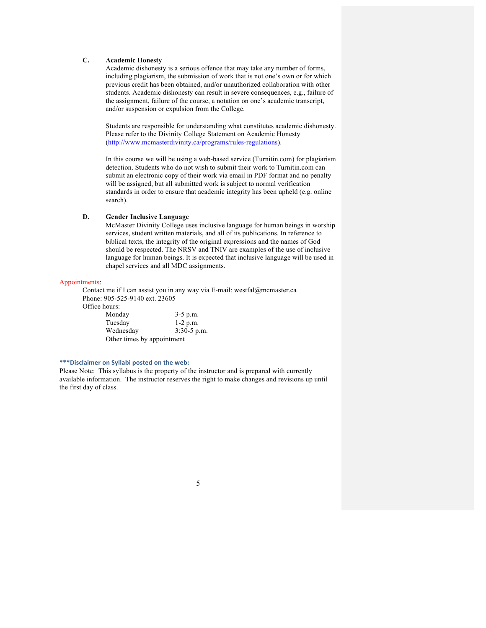## **C. Academic Honesty**

Academic dishonesty is a serious offence that may take any number of forms, including plagiarism, the submission of work that is not one's own or for which previous credit has been obtained, and/or unauthorized collaboration with other students. Academic dishonesty can result in severe consequences, e.g., failure of the assignment, failure of the course, a notation on one's academic transcript, and/or suspension or expulsion from the College.

Students are responsible for understanding what constitutes academic dishonesty. Please refer to the Divinity College Statement on Academic Honesty (http://www.mcmasterdivinity.ca/programs/rules-regulations).

In this course we will be using a web-based service (Turnitin.com) for plagiarism detection. Students who do not wish to submit their work to Turnitin.com can submit an electronic copy of their work via email in PDF format and no penalty will be assigned, but all submitted work is subject to normal verification standards in order to ensure that academic integrity has been upheld (e.g. online search).

## **D. Gender Inclusive Language**

 McMaster Divinity College uses inclusive language for human beings in worship services, student written materials, and all of its publications. In reference to biblical texts, the integrity of the original expressions and the names of God should be respected. The NRSV and TNIV are examples of the use of inclusive language for human beings. It is expected that inclusive language will be used in chapel services and all MDC assignments.

#### Appointments:

Contact me if I can assist you in any way via E-mail: westfal@mcmaster.ca Phone: 905-525-9140 ext. 23605

Office hours:

| Monday                     | $3-5$ p.m.    |
|----------------------------|---------------|
| Tuesday                    | $1-2$ p.m.    |
| Wednesday                  | $3:30-5$ p.m. |
| Other times by appointment |               |

#### \*\*\*Disclaimer on Syllabi posted on the web:

Please Note: This syllabus is the property of the instructor and is prepared with currently available information. The instructor reserves the right to make changes and revisions up until the first day of class.

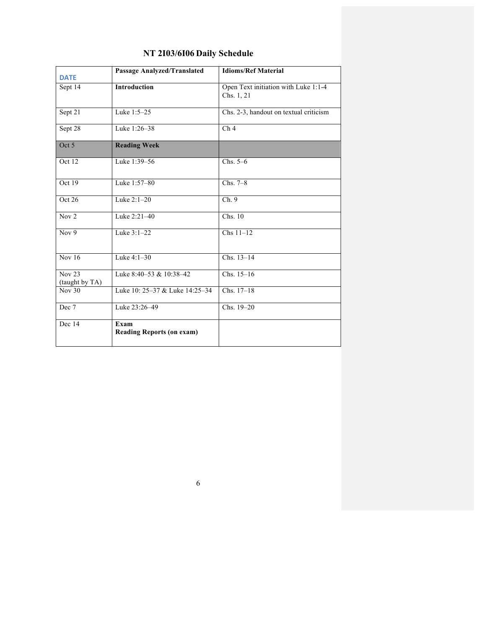| <b>DATE</b>                     | <b>Passage Analyzed/Translated</b>       | <b>Idioms/Ref Material</b>                         |
|---------------------------------|------------------------------------------|----------------------------------------------------|
| Sept 14                         | <b>Introduction</b>                      | Open Text initiation with Luke 1:1-4<br>Chs. 1, 21 |
| Sept 21                         | Luke 1:5-25                              | Chs. 2-3, handout on textual criticism             |
| Sept 28                         | Luke 1:26-38                             | Ch <sub>4</sub>                                    |
| Oct 5                           | <b>Reading Week</b>                      |                                                    |
| Oct 12                          | Luke 1:39-56                             | Chs. $5-6$                                         |
| Oct 19                          | Luke 1:57-80                             | $Chs. 7-8$                                         |
| Oct 26                          | Luke 2:1-20                              | Ch.9                                               |
| Nov <sub>2</sub>                | Luke 2:21-40                             | Chs. 10                                            |
| Nov $9$                         | Luke 3:1-22                              | $Chs 11-12$                                        |
| $\overline{Nov16}$              | Luke 4:1-30                              | Chs. 13-14                                         |
| <b>Nov 23</b><br>(taught by TA) | Luke $8:40-53$ & $10:38-42$              | $Chs. 15-16$                                       |
| Nov $30$                        | Luke 10: 25-37 & Luke 14:25-34           | Chs. 17-18                                         |
| Dec 7                           | Luke 23:26-49                            | Chs. 19-20                                         |
| Dec 14                          | Exam<br><b>Reading Reports (on exam)</b> |                                                    |

# **NT 2I03/6I06 Daily Schedule**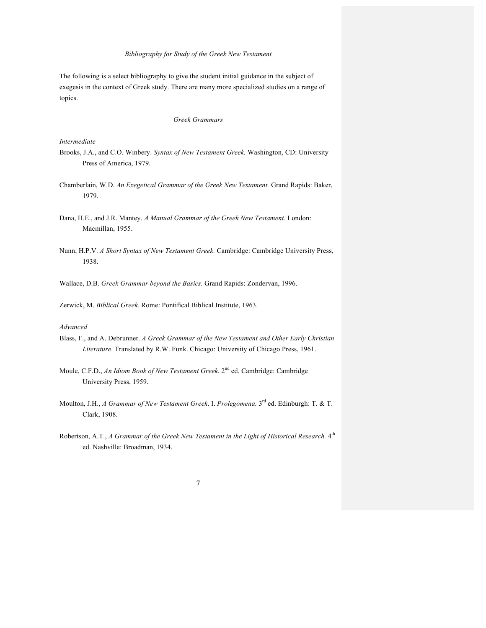#### *Bibliography for Study of the Greek New Testament*

The following is a select bibliography to give the student initial guidance in the subject of exegesis in the context of Greek study. There are many more specialized studies on a range of topics.

## *Greek Grammars*

## *Intermediate*

- Brooks, J.A., and C.O. Winbery. *Syntax of New Testament Greek.* Washington, CD: University Press of America, 1979.
- Chamberlain, W.D. *An Exegetical Grammar of the Greek New Testament.* Grand Rapids: Baker, 1979.
- Dana, H.E., and J.R. Mantey. *A Manual Grammar of the Greek New Testament.* London: Macmillan, 1955.
- Nunn, H.P.V. *A Short Syntax of New Testament Greek.* Cambridge: Cambridge University Press, 1938.
- Wallace, D.B. *Greek Grammar beyond the Basics.* Grand Rapids: Zondervan, 1996.

Zerwick, M. *Biblical Greek.* Rome: Pontifical Biblical Institute, 1963.

# *Advanced*

- Blass, F., and A. Debrunner. *A Greek Grammar of the New Testament and Other Early Christian Literature*. Translated by R.W. Funk. Chicago: University of Chicago Press, 1961.
- Moule, C.F.D., *An Idiom Book of New Testament Greek.* 2<sup>nd</sup> ed. Cambridge: Cambridge University Press, 1959.
- Moulton, J.H., *A Grammar of New Testament Greek*. I. *Prolegomena.* 3rd ed. Edinburgh: T. & T. Clark, 1908.
- Robertson, A.T., *A Grammar of the Greek New Testament in the Light of Historical Research*.  $4<sup>th</sup>$ ed. Nashville: Broadman, 1934.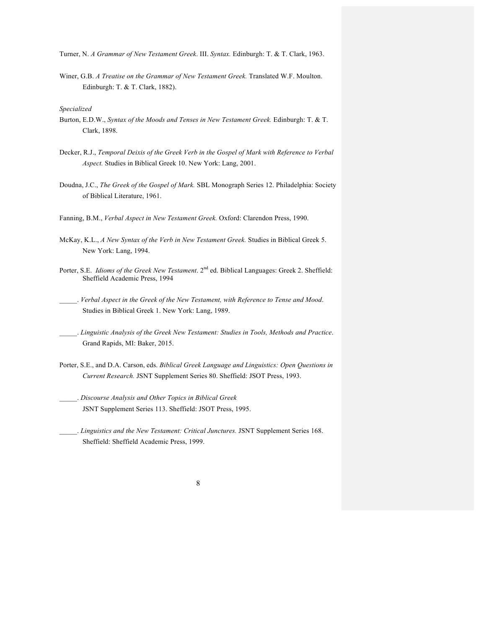Turner, N. *A Grammar of New Testament Greek*. III. *Syntax.* Edinburgh: T. & T. Clark, 1963.

Winer, G.B. *A Treatise on the Grammar of New Testament Greek.* Translated W.F. Moulton. Edinburgh: T. & T. Clark, 1882).

*Specialized*

- Burton, E.D.W., *Syntax of the Moods and Tenses in New Testament Greek.* Edinburgh: T. & T. Clark, 1898.
- Decker, R.J., *Temporal Deixis of the Greek Verb in the Gospel of Mark with Reference to Verbal Aspect.* Studies in Biblical Greek 10. New York: Lang, 2001.
- Doudna, J.C., *The Greek of the Gospel of Mark.* SBL Monograph Series 12. Philadelphia: Society of Biblical Literature, 1961.
- Fanning, B.M., *Verbal Aspect in New Testament Greek.* Oxford: Clarendon Press, 1990.
- McKay, K.L., *A New Syntax of the Verb in New Testament Greek.* Studies in Biblical Greek 5. New York: Lang, 1994.
- Porter, S.E. *Idioms of the Greek New Testament*. 2<sup>nd</sup> ed. Biblical Languages: Greek 2. Sheffield: Sheffield Academic Press, 1994
- \_\_\_\_\_. *Verbal Aspect in the Greek of the New Testament, with Reference to Tense and Mood*. Studies in Biblical Greek 1. New York: Lang, 1989.
- \_\_\_\_\_. *Linguistic Analysis of the Greek New Testament: Studies in Tools, Methods and Practice*. Grand Rapids, MI: Baker, 2015.
- Porter, S.E., and D.A. Carson, eds. *Biblical Greek Language and Linguistics: Open Questions in Current Research.* JSNT Supplement Series 80. Sheffield: JSOT Press, 1993.
- \_\_\_\_\_. *Discourse Analysis and Other Topics in Biblical Greek* JSNT Supplement Series 113. Sheffield: JSOT Press, 1995.
- \_\_\_\_\_. *Linguistics and the New Testament: Critical Junctures.* JSNT Supplement Series 168. Sheffield: Sheffield Academic Press, 1999.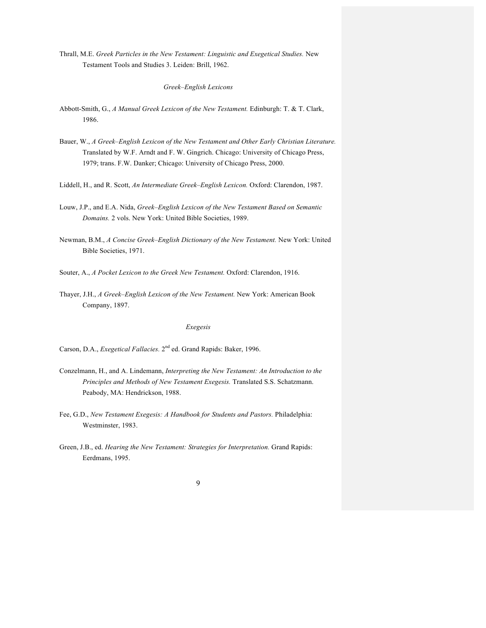Thrall, M.E. *Greek Particles in the New Testament: Linguistic and Exegetical Studies.* New Testament Tools and Studies 3. Leiden: Brill, 1962.

*Greek–English Lexicons*

- Abbott-Smith, G., *A Manual Greek Lexicon of the New Testament.* Edinburgh: T. & T. Clark, 1986.
- Bauer, W., *A Greek–English Lexicon of the New Testament and Other Early Christian Literature.* Translated by W.F. Arndt and F. W. Gingrich. Chicago: University of Chicago Press, 1979; trans. F.W. Danker; Chicago: University of Chicago Press, 2000.
- Liddell, H., and R. Scott, *An Intermediate Greek–English Lexicon.* Oxford: Clarendon, 1987.
- Louw, J.P., and E.A. Nida, *Greek–English Lexicon of the New Testament Based on Semantic Domains.* 2 vols. New York: United Bible Societies, 1989.
- Newman, B.M., *A Concise Greek–English Dictionary of the New Testament.* New York: United Bible Societies, 1971.
- Souter, A., *A Pocket Lexicon to the Greek New Testament.* Oxford: Clarendon, 1916.
- Thayer, J.H., *A Greek–English Lexicon of the New Testament.* New York: American Book Company, 1897.

# *Exegesis*

Carson, D.A., *Exegetical Fallacies.* 2nd ed. Grand Rapids: Baker, 1996.

- Conzelmann, H., and A. Lindemann, *Interpreting the New Testament: An Introduction to the Principles and Methods of New Testament Exegesis.* Translated S.S. Schatzmann. Peabody, MA: Hendrickson, 1988.
- Fee, G.D., *New Testament Exegesis: A Handbook for Students and Pastors.* Philadelphia: Westminster, 1983.
- Green, J.B., ed. *Hearing the New Testament: Strategies for Interpretation.* Grand Rapids: Eerdmans, 1995.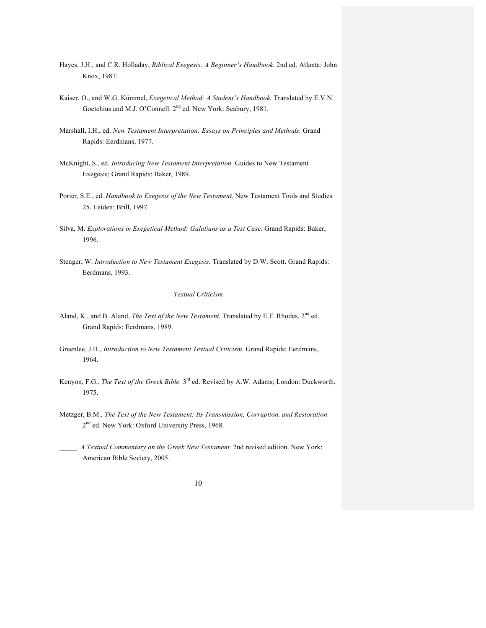- Hayes, J.H., and C.R. Holladay, *Biblical Exegesis: A Beginner's Handbook.* 2nd ed. Atlanta: John Knox, 1987.
- Kaiser, O., and W.G. Kümmel, *Exegetical Method: A Student's Handbook.* Translated by E.V.N. Goetchius and M.J. O'Connell. 2<sup>nd</sup> ed. New York: Seabury, 1981.
- Marshall, I.H., ed. *New Testament Interpretation: Essays on Principles and Methods.* Grand Rapids: Eerdmans, 1977.
- McKnight, S., ed. *Introducing New Testament Interpretation.* Guides to New Testament Exegesis; Grand Rapids: Baker, 1989.
- Porter, S.E., ed. *Handbook to Exegesis of the New Testament.* New Testament Tools and Studies 25. Leiden: Brill, 1997.
- Silva, M. *Explorations in Exegetical Method: Galatians as a Test Case.* Grand Rapids: Baker, 1996.
- Stenger, W. *Introduction to New Testament Exegesis.* Translated by D.W. Scott. Grand Rapids: Eerdmans, 1993.

## *Textual Criticism*

- Aland, K., and B. Aland, *The Text of the New Testament*. Translated by E.F. Rhodes. 2<sup>nd</sup> ed. Grand Rapids: Eerdmans, 1989.
- Greenlee, J.H., *Introduction to New Testament Textual Criticism.* Grand Rapids: Eerdmans, 1964.
- Kenyon, F.G., *The Text of the Greek Bible.* 3rd ed. Revised by A.W. Adams; London: Duckworth, 1975.
- Metzger, B.M., *The Text of the New Testament: Its Transmission, Corruption, and Restoration* 2<sup>nd</sup> ed. New York: Oxford University Press, 1968.
- \_\_\_\_\_. *A Textual Commentary on the Greek New Testament.* 2nd revised edition. New York: American Bible Society, 2005.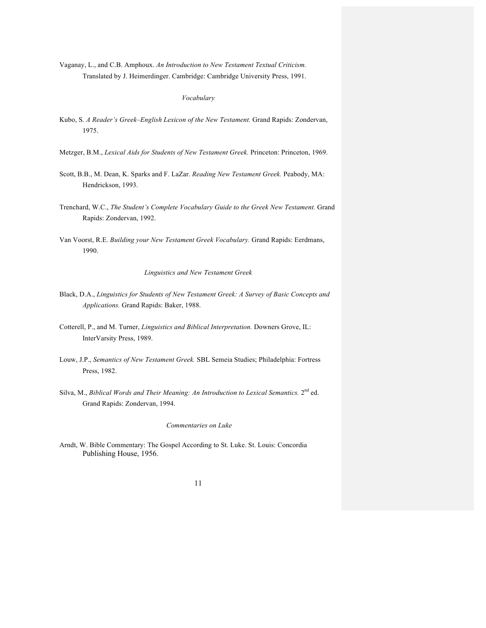Vaganay, L., and C.B. Amphoux. *An Introduction to New Testament Textual Criticism.* Translated by J. Heimerdinger. Cambridge: Cambridge University Press, 1991.

#### *Vocabulary*

- Kubo, S. *A Reader's Greek–English Lexicon of the New Testament.* Grand Rapids: Zondervan, 1975.
- Metzger, B.M., *Lexical Aids for Students of New Testament Greek.* Princeton: Princeton, 1969.
- Scott, B.B., M. Dean, K. Sparks and F. LaZar. *Reading New Testament Greek.* Peabody, MA: Hendrickson, 1993.
- Trenchard, W.C., *The Student's Complete Vocabulary Guide to the Greek New Testament.* Grand Rapids: Zondervan, 1992.
- Van Voorst, R.E. *Building your New Testament Greek Vocabulary.* Grand Rapids: Eerdmans, 1990.

## *Linguistics and New Testament Greek*

- Black, D.A., *Linguistics for Students of New Testament Greek: A Survey of Basic Concepts and Applications.* Grand Rapids: Baker, 1988.
- Cotterell, P., and M. Turner, *Linguistics and Biblical Interpretation.* Downers Grove, IL: InterVarsity Press, 1989.
- Louw, J.P., *Semantics of New Testament Greek.* SBL Semeia Studies; Philadelphia: Fortress Press, 1982.
- Silva, M., *Biblical Words and Their Meaning: An Introduction to Lexical Semantics.* 2<sup>nd</sup> ed. Grand Rapids: Zondervan, 1994.

### *Commentaries on Luke*

Arndt, W. Bible Commentary: The Gospel According to St. Luke. St. Louis: Concordia Publishing House, 1956.